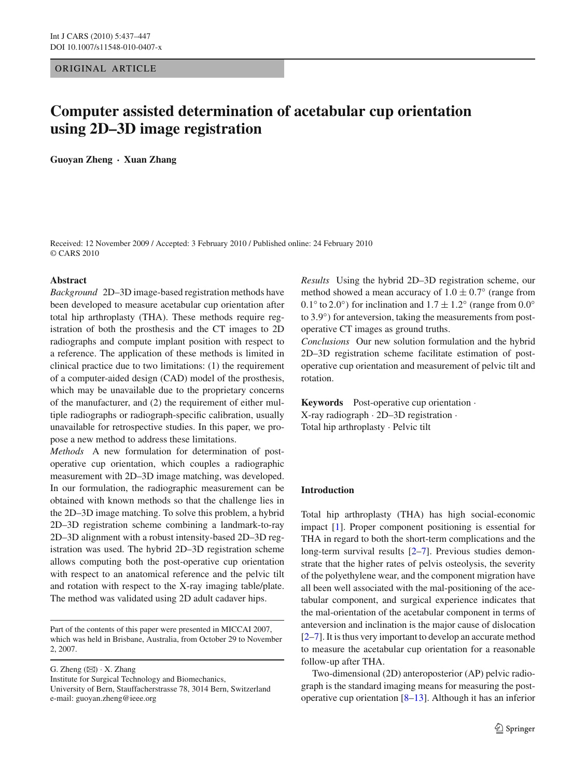# ORIGINAL ARTICLE

# **Computer assisted determination of acetabular cup orientation using 2D–3D image registration**

**Guoyan Zheng · Xuan Zhang**

Received: 12 November 2009 / Accepted: 3 February 2010 / Published online: 24 February 2010 © CARS 2010

## **Abstract**

*Background* 2D–3D image-based registration methods have been developed to measure acetabular cup orientation after total hip arthroplasty (THA). These methods require registration of both the prosthesis and the CT images to 2D radiographs and compute implant position with respect to a reference. The application of these methods is limited in clinical practice due to two limitations: (1) the requirement of a computer-aided design (CAD) model of the prosthesis, which may be unavailable due to the proprietary concerns of the manufacturer, and (2) the requirement of either multiple radiographs or radiograph-specific calibration, usually unavailable for retrospective studies. In this paper, we propose a new method to address these limitations.

*Methods* A new formulation for determination of postoperative cup orientation, which couples a radiographic measurement with 2D–3D image matching, was developed. In our formulation, the radiographic measurement can be obtained with known methods so that the challenge lies in the 2D–3D image matching. To solve this problem, a hybrid 2D–3D registration scheme combining a landmark-to-ray 2D–3D alignment with a robust intensity-based 2D–3D registration was used. The hybrid 2D–3D registration scheme allows computing both the post-operative cup orientation with respect to an anatomical reference and the pelvic tilt and rotation with respect to the X-ray imaging table/plate. The method was validated using 2D adult cadaver hips.

G. Zheng  $(\boxtimes) \cdot X$ . Zhang Institute for Surgical Technology and Biomechanics, University of Bern, Stauffacherstrasse 78, 3014 Bern, Switzerland e-mail: guoyan.zheng@ieee.org

*Results* Using the hybrid 2D–3D registration scheme, our method showed a mean accuracy of  $1.0 \pm 0.7$ <sup>o</sup> (range from 0.1<sup>°</sup> to 2.0<sup>°</sup>) for inclination and  $1.7 \pm 1.2$ <sup>°</sup> (range from 0.0<sup>°</sup>) to 3.9◦) for anteversion, taking the measurements from postoperative CT images as ground truths.

*Conclusions* Our new solution formulation and the hybrid 2D–3D registration scheme facilitate estimation of postoperative cup orientation and measurement of pelvic tilt and rotation.

**Keywords** Post-operative cup orientation · X-ray radiograph · 2D–3D registration · Total hip arthroplasty · Pelvic tilt

# **Introduction**

Total hip arthroplasty (THA) has high social-economic impact [\[1\]](#page-9-0). Proper component positioning is essential for THA in regard to both the short-term complications and the long-term survival results [\[2](#page-9-1)[–7](#page-9-2)]. Previous studies demonstrate that the higher rates of pelvis osteolysis, the severity of the polyethylene wear, and the component migration have all been well associated with the mal-positioning of the acetabular component, and surgical experience indicates that the mal-orientation of the acetabular component in terms of anteversion and inclination is the major cause of dislocation [\[2](#page-9-1)[–7](#page-9-2)]. It is thus very important to develop an accurate method to measure the acetabular cup orientation for a reasonable follow-up after THA.

Two-dimensional (2D) anteroposterior (AP) pelvic radiograph is the standard imaging means for measuring the postoperative cup orientation [\[8](#page-9-3)[–13\]](#page-9-4). Although it has an inferior

Part of the contents of this paper were presented in MICCAI 2007, which was held in Brisbane, Australia, from October 29 to November 2, 2007.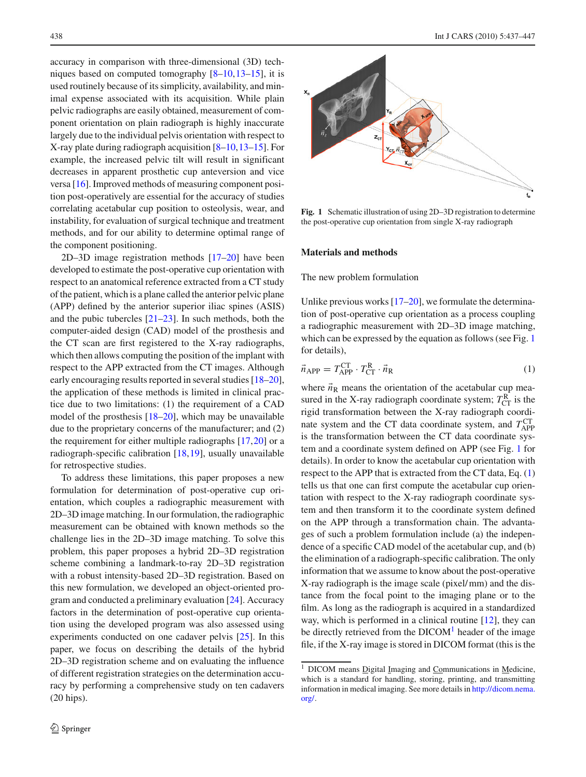accuracy in comparison with three-dimensional (3D) techniques based on computed tomography [\[8](#page-9-3)[–10](#page-9-5),[13](#page-9-4)[–15\]](#page-10-0), it is used routinely because of its simplicity, availability, and minimal expense associated with its acquisition. While plain pelvic radiographs are easily obtained, measurement of component orientation on plain radiograph is highly inaccurate largely due to the individual pelvis orientation with respect to X-ray plate during radiograph acquisition [\[8](#page-9-3)[–10](#page-9-5)[,13](#page-9-4)[–15\]](#page-10-0). For example, the increased pelvic tilt will result in significant decreases in apparent prosthetic cup anteversion and vice versa [\[16\]](#page-10-1). Improved methods of measuring component position post-operatively are essential for the accuracy of studies correlating acetabular cup position to osteolysis, wear, and instability, for evaluation of surgical technique and treatment methods, and for our ability to determine optimal range of the component positioning.

2D–3D image registration methods [\[17](#page-10-2)[–20](#page-10-3)] have been developed to estimate the post-operative cup orientation with respect to an anatomical reference extracted from a CT study of the patient, which is a plane called the anterior pelvic plane (APP) defined by the anterior superior iliac spines (ASIS) and the pubic tubercles  $[21-23]$  $[21-23]$ . In such methods, both the computer-aided design (CAD) model of the prosthesis and the CT scan are first registered to the X-ray radiographs, which then allows computing the position of the implant with respect to the APP extracted from the CT images. Although early encouraging results reported in several studies [\[18](#page-10-6)[–20](#page-10-3)], the application of these methods is limited in clinical practice due to two limitations: (1) the requirement of a CAD model of the prosthesis [\[18](#page-10-6)[–20\]](#page-10-3), which may be unavailable due to the proprietary concerns of the manufacturer; and (2) the requirement for either multiple radiographs [\[17,](#page-10-2)[20\]](#page-10-3) or a radiograph-specific calibration [\[18](#page-10-6)[,19](#page-10-7)], usually unavailable for retrospective studies.

To address these limitations, this paper proposes a new formulation for determination of post-operative cup orientation, which couples a radiographic measurement with 2D–3D image matching. In our formulation, the radiographic measurement can be obtained with known methods so the challenge lies in the 2D–3D image matching. To solve this problem, this paper proposes a hybrid 2D–3D registration scheme combining a landmark-to-ray 2D–3D registration with a robust intensity-based 2D–3D registration. Based on this new formulation, we developed an object-oriented program and conducted a preliminary evaluation [\[24](#page-10-8)]. Accuracy factors in the determination of post-operative cup orientation using the developed program was also assessed using experiments conducted on one cadaver pelvis [\[25\]](#page-10-9). In this paper, we focus on describing the details of the hybrid 2D–3D registration scheme and on evaluating the influence of different registration strategies on the determination accuracy by performing a comprehensive study on ten cadavers (20 hips).



<span id="page-1-0"></span>**Fig. 1** Schematic illustration of using 2D–3D registration to determine the post-operative cup orientation from single X-ray radiograph

#### **Materials and methods**

The new problem formulation

Unlike previous works  $[17–20]$  $[17–20]$  $[17–20]$ , we formulate the determination of post-operative cup orientation as a process coupling a radiographic measurement with 2D–3D image matching, which can be expressed by the equation as follows (see Fig. [1](#page-1-0) for details),

<span id="page-1-1"></span>
$$
\vec{n}_{\text{APP}} = T_{\text{APP}}^{\text{CT}} \cdot T_{\text{CT}}^{\text{R}} \cdot \vec{n}_{\text{R}}
$$
\n
$$
\tag{1}
$$

where  $\vec{n}_R$  means the orientation of the acetabular cup measured in the X-ray radiograph coordinate system;  $T_{\text{CT}}^{\text{R}}$  is the rigid transformation between the X-ray radiograph coordinate system and the CT data coordinate system, and  $T_{APP}^{CT}$ is the transformation between the CT data coordinate system and a coordinate system defined on APP (see Fig. [1](#page-1-0) for details). In order to know the acetabular cup orientation with respect to the APP that is extracted from the CT data, Eq. [\(1\)](#page-1-1) tells us that one can first compute the acetabular cup orientation with respect to the X-ray radiograph coordinate system and then transform it to the coordinate system defined on the APP through a transformation chain. The advantages of such a problem formulation include (a) the independence of a specific CAD model of the acetabular cup, and (b) the elimination of a radiograph-specific calibration. The only information that we assume to know about the post-operative X-ray radiograph is the image scale (pixel/ mm) and the distance from the focal point to the imaging plane or to the film. As long as the radiograph is acquired in a standardized way, which is performed in a clinical routine [\[12](#page-9-6)], they can be directly retrieved from the  $DICOM<sup>1</sup>$  header of the image file, if the X-ray image is stored in DICOM format (this is the

<span id="page-1-2"></span><sup>&</sup>lt;sup>1</sup> DICOM means **Digital Imaging and Communications in Medicine**, which is a standard for handling, storing, printing, and transmitting information in medical imaging. See more details in [http://dicom.nema.](http://dicom.nema.org/) [org/.](http://dicom.nema.org/)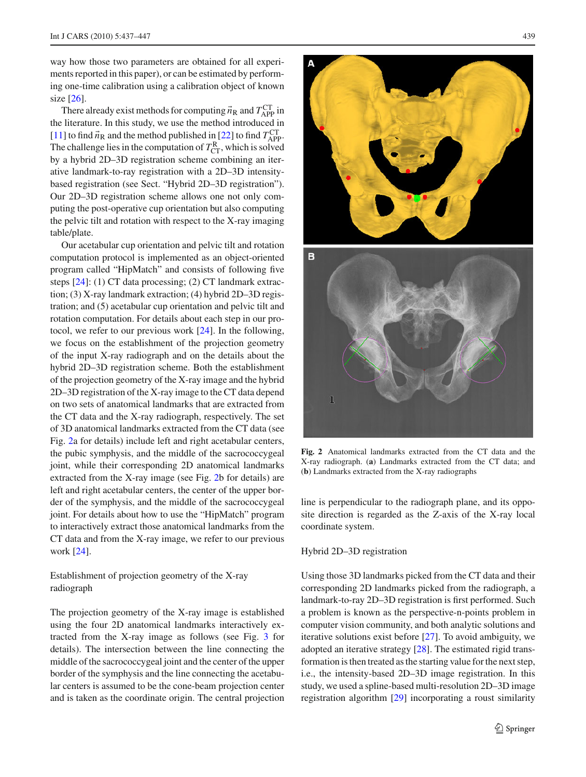way how those two parameters are obtained for all experiments reported in this paper), or can be estimated by performing one-time calibration using a calibration object of known size [\[26](#page-10-10)].

There already exist methods for computing  $\vec{n}_R$  and  $T_{APP}^{CT}$  in the literature. In this study, we use the method introduced in [\[11](#page-9-7)] to find  $\vec{n}_R$  and the method published in [\[22\]](#page-10-11) to find  $T_{APP}^{CT}$ . The challenge lies in the computation of  $T_{CT}^R$ , which is solved by a hybrid 2D–3D registration scheme combining an iterative landmark-to-ray registration with a 2D–3D intensitybased registration (see Sect. "Hybrid 2D–3D registration"). Our 2D–3D registration scheme allows one not only computing the post-operative cup orientation but also computing the pelvic tilt and rotation with respect to the X-ray imaging table/plate.

Our acetabular cup orientation and pelvic tilt and rotation computation protocol is implemented as an object-oriented program called "HipMatch" and consists of following five steps [\[24\]](#page-10-8): (1) CT data processing; (2) CT landmark extraction; (3) X-ray landmark extraction; (4) hybrid 2D–3D registration; and (5) acetabular cup orientation and pelvic tilt and rotation computation. For details about each step in our protocol, we refer to our previous work [\[24](#page-10-8)]. In the following, we focus on the establishment of the projection geometry of the input X-ray radiograph and on the details about the hybrid 2D–3D registration scheme. Both the establishment of the projection geometry of the X-ray image and the hybrid 2D–3D registration of the X-ray image to the CT data depend on two sets of anatomical landmarks that are extracted from the CT data and the X-ray radiograph, respectively. The set of 3D anatomical landmarks extracted from the CT data (see Fig. [2a](#page-2-0) for details) include left and right acetabular centers, the pubic symphysis, and the middle of the sacrococcygeal joint, while their corresponding 2D anatomical landmarks extracted from the X-ray image (see Fig. [2b](#page-2-0) for details) are left and right acetabular centers, the center of the upper border of the symphysis, and the middle of the sacrococcygeal joint. For details about how to use the "HipMatch" program to interactively extract those anatomical landmarks from the CT data and from the X-ray image, we refer to our previous work [\[24](#page-10-8)].

Establishment of projection geometry of the X-ray radiograph

The projection geometry of the X-ray image is established using the four 2D anatomical landmarks interactively extracted from the X-ray image as follows (see Fig. [3](#page-3-0) for details). The intersection between the line connecting the middle of the sacrococcygeal joint and the center of the upper border of the symphysis and the line connecting the acetabular centers is assumed to be the cone-beam projection center and is taken as the coordinate origin. The central projection



<span id="page-2-0"></span>**Fig. 2** Anatomical landmarks extracted from the CT data and the X-ray radiograph. (**a**) Landmarks extracted from the CT data; and (**b**) Landmarks extracted from the X-ray radiographs

line is perpendicular to the radiograph plane, and its opposite direction is regarded as the Z-axis of the X-ray local coordinate system.

## Hybrid 2D–3D registration

Using those 3D landmarks picked from the CT data and their corresponding 2D landmarks picked from the radiograph, a landmark-to-ray 2D–3D registration is first performed. Such a problem is known as the perspective-n-points problem in computer vision community, and both analytic solutions and iterative solutions exist before [\[27](#page-10-12)]. To avoid ambiguity, we adopted an iterative strategy [\[28\]](#page-10-13). The estimated rigid transformation is then treated as the starting value for the next step, i.e., the intensity-based 2D–3D image registration. In this study, we used a spline-based multi-resolution 2D–3D image registration algorithm [\[29](#page-10-14)] incorporating a roust similarity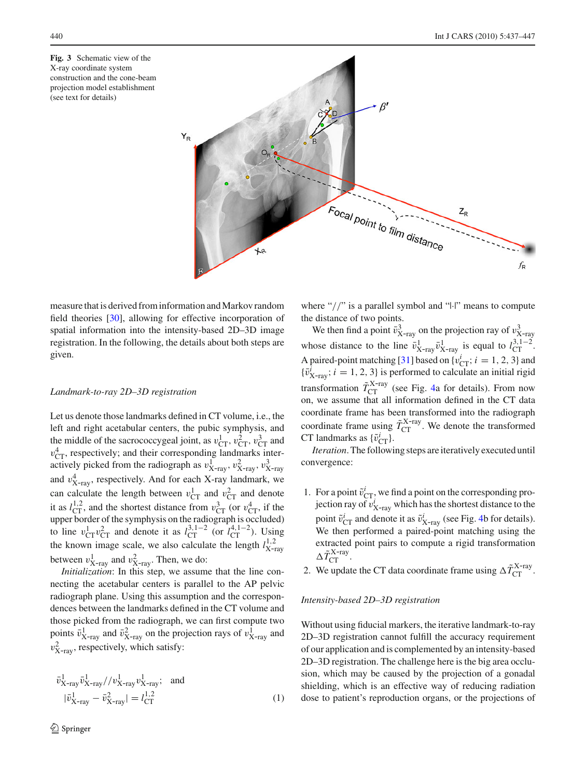<span id="page-3-0"></span>**Fig. 3** Schematic view of the X-ray coordinate system construction and the cone-beam projection model establishment (see text for details)



measure that is derived from information and Markov random field theories [\[30](#page-10-15)], allowing for effective incorporation of spatial information into the intensity-based 2D–3D image registration. In the following, the details about both steps are given.

## *Landmark-to-ray 2D–3D registration*

Let us denote those landmarks defined in CT volume, i.e., the left and right acetabular centers, the pubic symphysis, and the middle of the sacrococcygeal joint, as  $v_{CT}^1$ ,  $v_{CT}^2$ ,  $v_{CT}^3$  and  $v_{\text{CT}}^4$ , respectively; and their corresponding landmarks interactively picked from the radiograph as  $v_{X-ray}^1$ ,  $v_{X-ray}^2$ ,  $v_{X-ray}^3$ and  $v_{X-ray}^4$ , respectively. And for each X-ray landmark, we can calculate the length between  $v_{CT}^1$  and  $v_{CT}^2$  and denote it as  $l_{\text{CT}}^{1,2}$ , and the shortest distance from  $v_{\text{CT}}^3$  (or  $v_{\text{CT}}^4$ , if the upper border of the symphysis on the radiograph is occluded) to line  $v_{CT}^1 v_{CT}^2$  and denote it as  $l_{CT}^{3,1-2}$  (or  $l_{CT}^{4,1-2}$ ). Using the known image scale, we also calculate the length  $l_{\text{X-ray}}^{1,2}$ between  $v_{X-ray}^1$  and  $v_{X-ray}^2$ . Then, we do:

*Initialization*: In this step, we assume that the line connecting the acetabular centers is parallel to the AP pelvic radiograph plane. Using this assumption and the correspondences between the landmarks defined in the CT volume and those picked from the radiograph, we can first compute two points  $\bar{v}_{X-ray}^1$  and  $\bar{v}_{X-ray}^2$  on the projection rays of  $v_{X-ray}^1$  and  $v_{X-ray}^2$ , respectively, which satisfy:

$$
\bar{v}_{X-ray}^{1} \bar{v}_{X-ray}^{1} / / v_{X-ray}^{1} v_{X-ray}^{1}; \text{ and}
$$
\n
$$
|\bar{v}_{X-ray}^{1} - \bar{v}_{X-ray}^{2}| = l_{CT}^{1,2}
$$
\n(1)

where "//" is a parallel symbol and "|·|" means to compute the distance of two points.

We then find a point  $\bar{v}_{X-ray}^3$  on the projection ray of  $v_{X-ray}^3$ whose distance to the line  $\bar{v}_{X-ray}^1$   $\bar{v}_{X-ray}^1$  is equal to  $l_{CT}^{3,1-2}$ . A paired-point matching [\[31](#page-10-16)] based on  $\{v_{CT}^i; i = 1, 2, 3\}$  and  ${\bar{v}_{X-ray}}$ ; *i* = 1, 2, 3} is performed to calculate an initial rigid transformation  $\tilde{T}_{\text{CT}}^{X\text{-ray}}$  (see Fig. [4a](#page-4-0) for details). From now on, we assume that all information defined in the CT data coordinate frame has been transformed into the radiograph coordinate frame using  $\tilde{T}_{\text{CT}}^{X\text{-ray}}$ . We denote the transformed CT landmarks as  $\{\tilde{v}_{CT}^i\}$ .

*Iteration*. The following steps are iteratively executed until convergence:

- 1. For a point  $\tilde{v}_{CT}^i$ , we find a point on the corresponding projection ray of  $v_{X-ray}^i$  which has the shortest distance to the point  $\tilde{v}_{CT}^i$  and denote it as  $\tilde{v}_{X-ray}^i$  (see Fig. [4b](#page-4-0) for details). We then performed a paired-point matching using the extracted point pairs to compute a rigid transformation  $\Delta \tilde{T}_{\textrm{CT}}^{\textrm{X-ray}}$ .
- 2. We update the CT data coordinate frame using  $\Delta \tilde{T}_{\text{CT}}^{X\text{-ray}}$ .

#### *Intensity-based 2D–3D registration*

Without using fiducial markers, the iterative landmark-to-ray 2D–3D registration cannot fulfill the accuracy requirement of our application and is complemented by an intensity-based 2D–3D registration. The challenge here is the big area occlusion, which may be caused by the projection of a gonadal shielding, which is an effective way of reducing radiation dose to patient's reproduction organs, or the projections of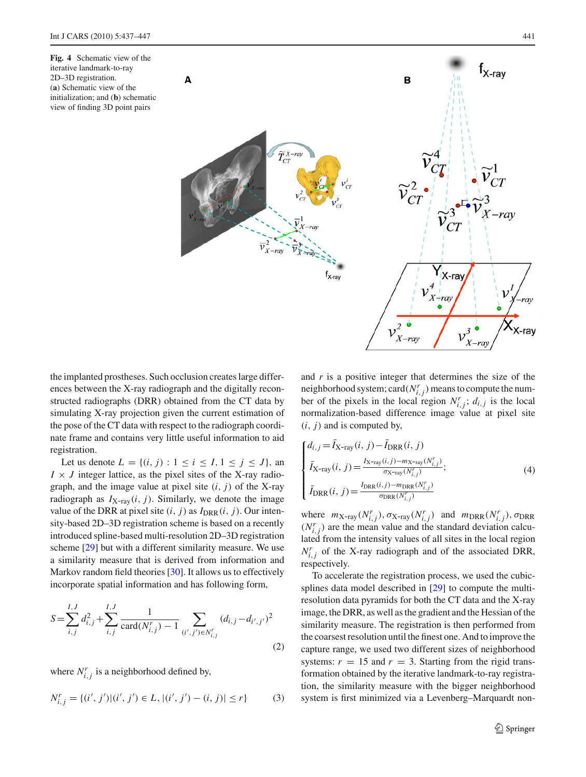<span id="page-4-0"></span>**Fig. 4** Schematic view of the iterative landmark-to-ray 2D–3D registration. (**a**) Schematic view of the initialization; and (**b**) schematic view of finding 3D point pairs



the implanted prostheses. Such occlusion creates large differences between the X-ray radiograph and the digitally reconstructed radiographs (DRR) obtained from the CT data by simulating X-ray projection given the current estimation of the pose of the CT data with respect to the radiograph coordinate frame and contains very little useful information to aid registration.

Let us denote  $L = \{(i, j) : 1 \le i \le I, 1 \le j \le J\}$ , an  $I \times J$  integer lattice, as the pixel sites of the X-ray radiograph, and the image value at pixel site  $(i, j)$  of the X-ray radiograph as  $I_{X-ray}(i, j)$ . Similarly, we denote the image value of the DRR at pixel site  $(i, j)$  as  $I_{DRR}(i, j)$ . Our intensity-based 2D–3D registration scheme is based on a recently introduced spline-based multi-resolution 2D–3D registration scheme [\[29\]](#page-10-14) but with a different similarity measure. We use a similarity measure that is derived from information and Markov random field theories [\[30](#page-10-15)]. It allows us to effectively incorporate spatial information and has following form,

$$
S = \sum_{i,j}^{I,J} d_{i,j}^2 + \sum_{i,j}^{I,J} \frac{1}{\text{card}(N_{i,j}^r) - 1} \sum_{(i',j') \in N_{i,j}^r} (d_{i,j} - d_{i',j'})^2
$$
\n(2)

where  $N_{i,j}^r$  is a neighborhood defined by,

$$
N_{i,j}^r = \{(i',j')|(i',j') \in L, |(i',j') - (i,j)| \le r\}
$$
 (3)

and *r* is a positive integer that determines the size of the neighborhood system; card( $N^r_{i,j}$ ) means to compute the number of the pixels in the local region  $N^r_{i,j}$ ;  $d_{i,j}$  is the local normalization-based difference image value at pixel site  $(i, j)$  and is computed by,

$$
\begin{cases}\nd_{i,j} = \bar{I}_{X-ray}(i, j) - \bar{I}_{DRR}(i, j) \\
\bar{I}_{X-ray}(i, j) = \frac{I_{X-ray}(i, j) - m_{X-ray}(N_{i,j}^r)}{\sigma_{X-ray}(N_{i,j}^r)}; \\
\bar{I}_{DRR}(i, j) = \frac{I_{DRR}(i, j) - m_{DRR}(N_{i,j}^r)}{\sigma_{DRR}(N_{i,j}^r)}\n\end{cases} \tag{4}
$$

where  $m_{\text{X-ray}}(N^r_{i,j})$ ,  $\sigma_{\text{X-ray}}(N^r_{i,j})$  and  $m_{\text{DRR}}(N^r_{i,j})$ ,  $\sigma_{\text{DRR}}$  $(N<sub>i,j</sub><sup>r</sup>)$  are the mean value and the standard deviation calculated from the intensity values of all sites in the local region  $N_{i,j}^r$  of the X-ray radiograph and of the associated DRR, respectively.

To accelerate the registration process, we used the cubicsplines data model described in [\[29\]](#page-10-14) to compute the multiresolution data pyramids for both the CT data and the X-ray image, the DRR, as well as the gradient and the Hessian of the similarity measure. The registration is then performed from the coarsest resolution until the finest one. And to improve the capture range, we used two different sizes of neighborhood systems:  $r = 15$  and  $r = 3$ . Starting from the rigid transformation obtained by the iterative landmark-to-ray registration, the similarity measure with the bigger neighborhood system is first minimized via a Levenberg–Marquardt non-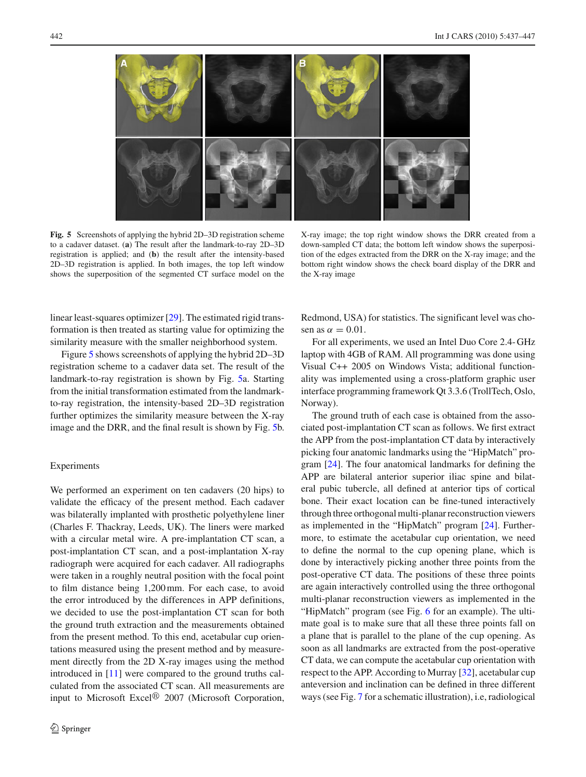

<span id="page-5-0"></span>**Fig. 5** Screenshots of applying the hybrid 2D–3D registration scheme to a cadaver dataset. (**a**) The result after the landmark-to-ray 2D–3D registration is applied; and (**b**) the result after the intensity-based 2D–3D registration is applied. In both images, the top left window shows the superposition of the segmented CT surface model on the

X-ray image; the top right window shows the DRR created from a down-sampled CT data; the bottom left window shows the superposition of the edges extracted from the DRR on the X-ray image; and the bottom right window shows the check board display of the DRR and the X-ray image

linear least-squares optimizer [\[29\]](#page-10-14). The estimated rigid transformation is then treated as starting value for optimizing the similarity measure with the smaller neighborhood system.

Figure [5](#page-5-0) shows screenshots of applying the hybrid 2D–3D registration scheme to a cadaver data set. The result of the landmark-to-ray registration is shown by Fig. [5a](#page-5-0). Starting from the initial transformation estimated from the landmarkto-ray registration, the intensity-based 2D–3D registration further optimizes the similarity measure between the X-ray image and the DRR, and the final result is shown by Fig. [5b](#page-5-0).

## Experiments

We performed an experiment on ten cadavers (20 hips) to validate the efficacy of the present method. Each cadaver was bilaterally implanted with prosthetic polyethylene liner (Charles F. Thackray, Leeds, UK). The liners were marked with a circular metal wire. A pre-implantation CT scan, a post-implantation CT scan, and a post-implantation X-ray radiograph were acquired for each cadaver. All radiographs were taken in a roughly neutral position with the focal point to film distance being 1,200 mm. For each case, to avoid the error introduced by the differences in APP definitions, we decided to use the post-implantation CT scan for both the ground truth extraction and the measurements obtained from the present method. To this end, acetabular cup orientations measured using the present method and by measurement directly from the 2D X-ray images using the method introduced in [\[11\]](#page-9-7) were compared to the ground truths calculated from the associated CT scan. All measurements are input to Microsoft Excel<sup>®</sup> 2007 (Microsoft Corporation,

Redmond, USA) for statistics. The significant level was chosen as  $\alpha = 0.01$ .

For all experiments, we used an Intel Duo Core 2.4- GHz laptop with 4GB of RAM. All programming was done using Visual C++ 2005 on Windows Vista; additional functionality was implemented using a cross-platform graphic user interface programming framework Qt 3.3.6 (TrollTech, Oslo, Norway).

The ground truth of each case is obtained from the associated post-implantation CT scan as follows. We first extract the APP from the post-implantation CT data by interactively picking four anatomic landmarks using the "HipMatch" program [\[24\]](#page-10-8). The four anatomical landmarks for defining the APP are bilateral anterior superior iliac spine and bilateral pubic tubercle, all defined at anterior tips of cortical bone. Their exact location can be fine-tuned interactively through three orthogonal multi-planar reconstruction viewers as implemented in the "HipMatch" program [\[24](#page-10-8)]. Furthermore, to estimate the acetabular cup orientation, we need to define the normal to the cup opening plane, which is done by interactively picking another three points from the post-operative CT data. The positions of these three points are again interactively controlled using the three orthogonal multi-planar reconstruction viewers as implemented in the "HipMatch" program (see Fig. [6](#page-6-0) for an example). The ultimate goal is to make sure that all these three points fall on a plane that is parallel to the plane of the cup opening. As soon as all landmarks are extracted from the post-operative CT data, we can compute the acetabular cup orientation with respect to the APP. According to Murray [\[32\]](#page-10-17), acetabular cup anteversion and inclination can be defined in three different ways (see Fig. [7](#page-6-1) for a schematic illustration), i.e, radiological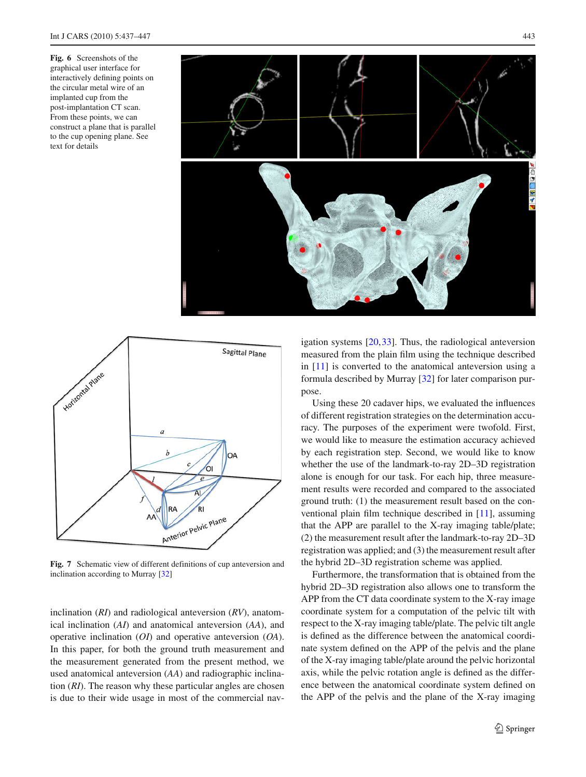<span id="page-6-0"></span>**Fig. 6** Screenshots of the graphical user interface for interactively defining points on the circular metal wire of an implanted cup from the post-implantation CT scan. From these points, we can construct a plane that is parallel to the cup opening plane. See text for details





<span id="page-6-1"></span>**Fig. 7** Schematic view of different definitions of cup anteversion and inclination according to Murray [\[32](#page-10-17)]

inclination (*RI*) and radiological anteversion (*RV*), anatomical inclination (*AI*) and anatomical anteversion (*AA*), and operative inclination (*OI*) and operative anteversion (*OA*). In this paper, for both the ground truth measurement and the measurement generated from the present method, we used anatomical anteversion (*AA*) and radiographic inclination (*RI*). The reason why these particular angles are chosen is due to their wide usage in most of the commercial navigation systems [\[20](#page-10-3)[,33](#page-10-18)]. Thus, the radiological anteversion measured from the plain film using the technique described in [\[11\]](#page-9-7) is converted to the anatomical anteversion using a formula described by Murray [\[32\]](#page-10-17) for later comparison purpose.

Using these 20 cadaver hips, we evaluated the influences of different registration strategies on the determination accuracy. The purposes of the experiment were twofold. First, we would like to measure the estimation accuracy achieved by each registration step. Second, we would like to know whether the use of the landmark-to-ray 2D–3D registration alone is enough for our task. For each hip, three measurement results were recorded and compared to the associated ground truth: (1) the measurement result based on the conventional plain film technique described in [\[11](#page-9-7)], assuming that the APP are parallel to the X-ray imaging table/plate; (2) the measurement result after the landmark-to-ray 2D–3D registration was applied; and (3) the measurement result after the hybrid 2D–3D registration scheme was applied.

Furthermore, the transformation that is obtained from the hybrid 2D–3D registration also allows one to transform the APP from the CT data coordinate system to the X-ray image coordinate system for a computation of the pelvic tilt with respect to the X-ray imaging table/plate. The pelvic tilt angle is defined as the difference between the anatomical coordinate system defined on the APP of the pelvis and the plane of the X-ray imaging table/plate around the pelvic horizontal axis, while the pelvic rotation angle is defined as the difference between the anatomical coordinate system defined on the APP of the pelvis and the plane of the X-ray imaging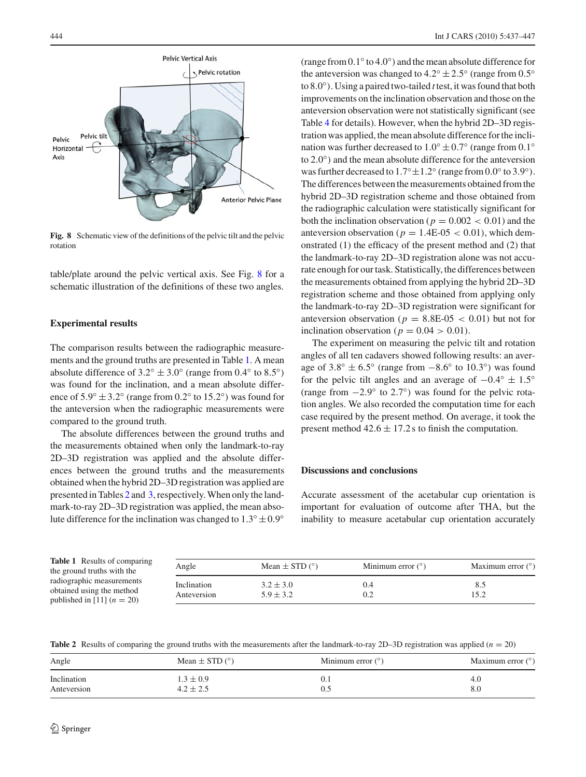

<span id="page-7-0"></span>**Fig. 8** Schematic view of the definitions of the pelvic tilt and the pelvic rotation

table/plate around the pelvic vertical axis. See Fig. [8](#page-7-0) for a schematic illustration of the definitions of these two angles.

#### **Experimental results**

The comparison results between the radiographic measurements and the ground truths are presented in Table [1.](#page-7-1) A mean absolute difference of  $3.2° \pm 3.0°$  (range from 0.4° to 8.5°) was found for the inclination, and a mean absolute difference of  $5.9° \pm 3.2°$  (range from 0.2° to 15.2°) was found for the anteversion when the radiographic measurements were compared to the ground truth.

The absolute differences between the ground truths and the measurements obtained when only the landmark-to-ray 2D–3D registration was applied and the absolute differences between the ground truths and the measurements obtained when the hybrid 2D–3D registration was applied are presented in Tables [2](#page-7-2) and [3,](#page-8-0) respectively.When only the landmark-to-ray 2D–3D registration was applied, the mean absolute difference for the inclination was changed to  $1.3° \pm 0.9°$ 

(range from 0.1◦ to 4.0◦) and the mean absolute difference for the anteversion was changed to  $4.2° \pm 2.5°$  (range from  $0.5°$ to 8.0◦). Using a paired two-tailed *t* test, it was found that both improvements on the inclination observation and those on the anteversion observation were not statistically significant (see Table [4](#page-8-1) for details). However, when the hybrid 2D–3D registration was applied, the mean absolute difference for the inclination was further decreased to  $1.0° \pm 0.7°$  (range from 0.1° to 2.0◦) and the mean absolute difference for the anteversion was further decreased to  $1.7° \pm 1.2°$  (range from  $0.0°$  to  $3.9°$ ). The differences between the measurements obtained from the hybrid 2D–3D registration scheme and those obtained from the radiographic calculation were statistically significant for both the inclination observation ( $p = 0.002 < 0.01$ ) and the anteversion observation ( $p = 1.4E-0.5 < 0.01$ ), which demonstrated (1) the efficacy of the present method and (2) that the landmark-to-ray 2D–3D registration alone was not accurate enough for our task. Statistically, the differences between the measurements obtained from applying the hybrid 2D–3D registration scheme and those obtained from applying only the landmark-to-ray 2D–3D registration were significant for anteversion observation ( $p = 8.8E-0.05 < 0.01$ ) but not for inclination observation ( $p = 0.04 > 0.01$ ).

The experiment on measuring the pelvic tilt and rotation angles of all ten cadavers showed following results: an average of  $3.8° \pm 6.5°$  (range from  $-8.6°$  to  $10.3°$ ) was found for the pelvic tilt angles and an average of  $-0.4° \pm 1.5°$ (range from  $-2.9^\circ$  to  $2.7^\circ$ ) was found for the pelvic rotation angles. We also recorded the computation time for each case required by the present method. On average, it took the present method  $42.6 \pm 17.2$  s to finish the computation.

## **Discussions and conclusions**

Accurate assessment of the acetabular cup orientation is important for evaluation of outcome after THA, but the inability to measure acetabular cup orientation accurately

<span id="page-7-1"></span>

| <b>Table 1</b> Results of comparing<br>the ground truths with the                      | Angle                      | Mean $\pm$ STD ( $\degree$ )   | Minimum error $(°)$ | Maximum error $(°)$ |
|----------------------------------------------------------------------------------------|----------------------------|--------------------------------|---------------------|---------------------|
| radiographic measurements<br>obtained using the method<br>published in [11] $(n = 20)$ | Inclination<br>Anteversion | $3.2 \pm 3.0$<br>$5.9 \pm 3.2$ |                     | 8.5<br>l 5.2        |

**Table 2** Results of comparing the ground truths with the measurements after the landmark-to-ray 2D–3D registration was applied (*n* = 20)

<span id="page-7-2"></span>

| Angle       | Mean $\pm$ STD ( $\degree$ ) | Minimum error $(°)$ | Maximum error $(°)$ |
|-------------|------------------------------|---------------------|---------------------|
| Inclination | $1.3 \pm 0.9$                | 0.1                 | 4.U                 |
| Anteversion | $4.2 \pm 2.5$                | 0.5                 | 8.0                 |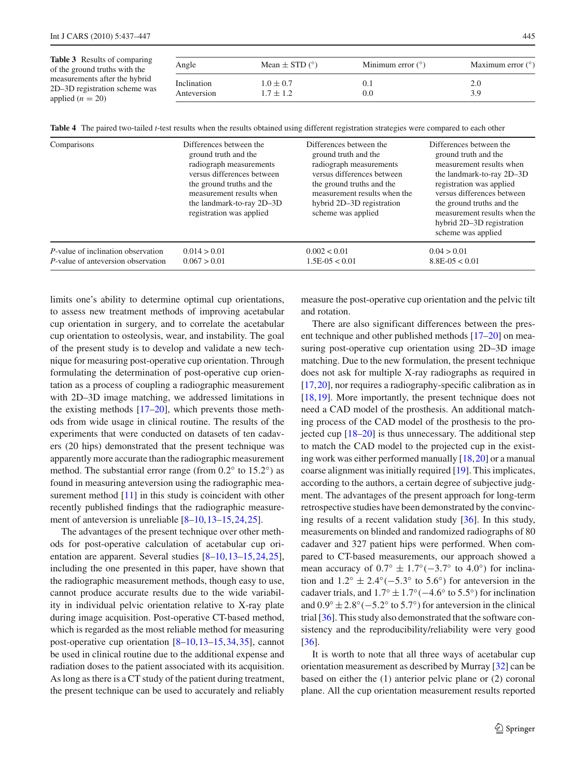<span id="page-8-0"></span>

| Table 3 Results of comparing<br>of the ground truths with the<br>measurements after the hybrid<br>2D-3D registration scheme was<br>applied $(n = 20)$ | Angle                      | Mean $\pm$ STD ( $\degree$ )   | Minimum error $(°)$ | Maximum error $(°)$ |
|-------------------------------------------------------------------------------------------------------------------------------------------------------|----------------------------|--------------------------------|---------------------|---------------------|
|                                                                                                                                                       | Inclination<br>Anteversion | $1.0 \pm 0.7$<br>$1.7 \pm 1.2$ | 0.1<br>0.0          | 2.0<br>3.9          |

**Table 4** The paired two-tailed *t*-test results when the results obtained using different registration strategies were compared to each other

<span id="page-8-1"></span>

| Comparisons                                | Differences between the<br>ground truth and the<br>radiograph measurements<br>versus differences between<br>the ground truths and the<br>measurement results when<br>the landmark-to-ray 2D-3D<br>registration was applied | Differences between the<br>ground truth and the<br>radiograph measurements<br>versus differences between<br>the ground truths and the<br>measurement results when the<br>hybrid 2D-3D registration<br>scheme was applied | Differences between the<br>ground truth and the<br>measurement results when<br>the landmark-to-ray 2D-3D<br>registration was applied<br>versus differences between<br>the ground truths and the<br>measurement results when the<br>hybrid 2D-3D registration<br>scheme was applied |
|--------------------------------------------|----------------------------------------------------------------------------------------------------------------------------------------------------------------------------------------------------------------------------|--------------------------------------------------------------------------------------------------------------------------------------------------------------------------------------------------------------------------|------------------------------------------------------------------------------------------------------------------------------------------------------------------------------------------------------------------------------------------------------------------------------------|
| <i>P</i> -value of inclination observation | 0.014 > 0.01                                                                                                                                                                                                               | 0.002 < 0.01                                                                                                                                                                                                             | 0.04 > 0.01                                                                                                                                                                                                                                                                        |
| P-value of anteversion observation         | 0.067 > 0.01                                                                                                                                                                                                               | $1.5E-0.5 < 0.01$                                                                                                                                                                                                        | $8.8E-0.5 < 0.01$                                                                                                                                                                                                                                                                  |

limits one's ability to determine optimal cup orientations, to assess new treatment methods of improving acetabular cup orientation in surgery, and to correlate the acetabular cup orientation to osteolysis, wear, and instability. The goal of the present study is to develop and validate a new technique for measuring post-operative cup orientation. Through formulating the determination of post-operative cup orientation as a process of coupling a radiographic measurement with 2D–3D image matching, we addressed limitations in the existing methods [\[17](#page-10-2)[–20](#page-10-3)], which prevents those methods from wide usage in clinical routine. The results of the experiments that were conducted on datasets of ten cadavers (20 hips) demonstrated that the present technique was apparently more accurate than the radiographic measurement method. The substantial error range (from  $0.2^\circ$  to  $15.2^\circ$ ) as found in measuring anteversion using the radiographic mea-surement method [\[11](#page-9-7)] in this study is coincident with other recently published findings that the radiographic measurement of anteversion is unreliable  $[8-10, 13-15, 24, 25]$  $[8-10, 13-15, 24, 25]$  $[8-10, 13-15, 24, 25]$  $[8-10, 13-15, 24, 25]$  $[8-10, 13-15, 24, 25]$ .

The advantages of the present technique over other methods for post-operative calculation of acetabular cup orientation are apparent. Several studies [\[8](#page-9-3)[–10,](#page-9-5)[13](#page-9-4)[–15](#page-10-0)[,24](#page-10-8)[,25](#page-10-9)], including the one presented in this paper, have shown that the radiographic measurement methods, though easy to use, cannot produce accurate results due to the wide variability in individual pelvic orientation relative to X-ray plate during image acquisition. Post-operative CT-based method, which is regarded as the most reliable method for measuring post-operative cup orientation [\[8](#page-9-3)[–10,](#page-9-5)[13](#page-9-4)[–15](#page-10-0)[,34](#page-10-19)[,35](#page-10-20)], cannot be used in clinical routine due to the additional expense and radiation doses to the patient associated with its acquisition. As long as there is a CT study of the patient during treatment, the present technique can be used to accurately and reliably

measure the post-operative cup orientation and the pelvic tilt and rotation.

There are also significant differences between the present technique and other published methods [\[17](#page-10-2)[–20](#page-10-3)] on measuring post-operative cup orientation using 2D–3D image matching. Due to the new formulation, the present technique does not ask for multiple X-ray radiographs as required in [\[17](#page-10-2),[20\]](#page-10-3), nor requires a radiography-specific calibration as in [\[18](#page-10-6),[19\]](#page-10-7). More importantly, the present technique does not need a CAD model of the prosthesis. An additional matching process of the CAD model of the prosthesis to the projected cup [\[18](#page-10-6)[–20](#page-10-3)] is thus unnecessary. The additional step to match the CAD model to the projected cup in the existing work was either performed manually [\[18](#page-10-6)[,20](#page-10-3)] or a manual coarse alignment was initially required [\[19\]](#page-10-7). This implicates, according to the authors, a certain degree of subjective judgment. The advantages of the present approach for long-term retrospective studies have been demonstrated by the convincing results of a recent validation study [\[36\]](#page-10-21). In this study, measurements on blinded and randomized radiographs of 80 cadaver and 327 patient hips were performed. When compared to CT-based measurements, our approach showed a mean accuracy of  $0.7° \pm 1.7°(-3.7°$  to  $4.0°)$  for inclination and  $1.2° \pm 2.4°(-5.3° \text{ to } 5.6°)$  for anteversion in the cadaver trials, and  $1.7° \pm 1.7° (-4.6° \text{ to } 5.5°)$  for inclination and  $0.9° \pm 2.8°(-5.2° \text{ to } 5.7°)$  for anteversion in the clinical trial [\[36](#page-10-21)]. This study also demonstrated that the software consistency and the reproducibility/reliability were very good [\[36](#page-10-21)].

It is worth to note that all three ways of acetabular cup orientation measurement as described by Murray [\[32\]](#page-10-17) can be based on either the (1) anterior pelvic plane or (2) coronal plane. All the cup orientation measurement results reported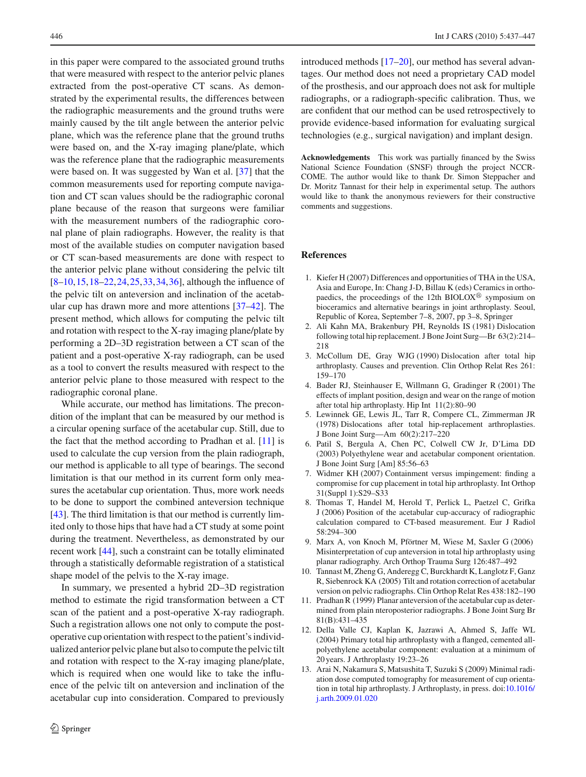in this paper were compared to the associated ground truths that were measured with respect to the anterior pelvic planes extracted from the post-operative CT scans. As demonstrated by the experimental results, the differences between the radiographic measurements and the ground truths were mainly caused by the tilt angle between the anterior pelvic plane, which was the reference plane that the ground truths were based on, and the X-ray imaging plane/plate, which was the reference plane that the radiographic measurements were based on. It was suggested by Wan et al. [\[37\]](#page-10-22) that the common measurements used for reporting compute navigation and CT scan values should be the radiographic coronal plane because of the reason that surgeons were familiar with the measurement numbers of the radiographic coronal plane of plain radiographs. However, the reality is that most of the available studies on computer navigation based or CT scan-based measurements are done with respect to the anterior pelvic plane without considering the pelvic tilt  $[8-10, 15, 18-22, 24, 25, 33, 34, 36]$  $[8-10, 15, 18-22, 24, 25, 33, 34, 36]$  $[8-10, 15, 18-22, 24, 25, 33, 34, 36]$  $[8-10, 15, 18-22, 24, 25, 33, 34, 36]$  $[8-10, 15, 18-22, 24, 25, 33, 34, 36]$  $[8-10, 15, 18-22, 24, 25, 33, 34, 36]$  $[8-10, 15, 18-22, 24, 25, 33, 34, 36]$  $[8-10, 15, 18-22, 24, 25, 33, 34, 36]$  $[8-10, 15, 18-22, 24, 25, 33, 34, 36]$  $[8-10, 15, 18-22, 24, 25, 33, 34, 36]$  $[8-10, 15, 18-22, 24, 25, 33, 34, 36]$ , although the influence of the pelvic tilt on anteversion and inclination of the acetabular cup has drawn more and more attentions [\[37](#page-10-22)[–42\]](#page-10-23). The present method, which allows for computing the pelvic tilt and rotation with respect to the X-ray imaging plane/plate by performing a 2D–3D registration between a CT scan of the patient and a post-operative X-ray radiograph, can be used as a tool to convert the results measured with respect to the anterior pelvic plane to those measured with respect to the radiographic coronal plane.

While accurate, our method has limitations. The precondition of the implant that can be measured by our method is a circular opening surface of the acetabular cup. Still, due to the fact that the method according to Pradhan et al. [\[11](#page-9-7)] is used to calculate the cup version from the plain radiograph, our method is applicable to all type of bearings. The second limitation is that our method in its current form only measures the acetabular cup orientation. Thus, more work needs to be done to support the combined anteversion technique [\[43](#page-10-24)]. The third limitation is that our method is currently limited only to those hips that have had a CT study at some point during the treatment. Nevertheless, as demonstrated by our recent work [\[44\]](#page-10-25), such a constraint can be totally eliminated through a statistically deformable registration of a statistical shape model of the pelvis to the X-ray image.

In summary, we presented a hybrid 2D–3D registration method to estimate the rigid transformation between a CT scan of the patient and a post-operative X-ray radiograph. Such a registration allows one not only to compute the postoperative cup orientation with respect to the patient's individualized anterior pelvic plane but also to compute the pelvic tilt and rotation with respect to the X-ray imaging plane/plate, which is required when one would like to take the influence of the pelvic tilt on anteversion and inclination of the acetabular cup into consideration. Compared to previously

introduced methods [\[17](#page-10-2)[–20](#page-10-3)], our method has several advantages. Our method does not need a proprietary CAD model of the prosthesis, and our approach does not ask for multiple radiographs, or a radiograph-specific calibration. Thus, we are confident that our method can be used retrospectively to provide evidence-based information for evaluating surgical technologies (e.g., surgical navigation) and implant design.

**Acknowledgements** This work was partially financed by the Swiss National Science Foundation (SNSF) through the project NCCR-COME. The author would like to thank Dr. Simon Steppacher and Dr. Moritz Tannast for their help in experimental setup. The authors would like to thank the anonymous reviewers for their constructive comments and suggestions.

#### <span id="page-9-0"></span>**References**

- 1. Kiefer H (2007) Differences and opportunities of THA in the USA, Asia and Europe, In: Chang J-D, Billau K (eds) Ceramics in orthopaedics, the proceedings of the 12th BIOLOX<sup>®</sup> symposium on bioceramics and alternative bearings in joint arthroplasty. Seoul, Republic of Korea, September 7–8, 2007, pp 3–8, Springer
- <span id="page-9-1"></span>2. Ali Kahn MA, Brakenbury PH, Reynolds IS (1981) Dislocation following total hip replacement. J Bone Joint Surg—Br 63(2):214– 218
- 3. McCollum DE, Gray WJG (1990) Dislocation after total hip arthroplasty. Causes and prevention. Clin Orthop Relat Res 261: 159–170
- 4. Bader RJ, Steinhauser E, Willmann G, Gradinger R (2001) The effects of implant position, design and wear on the range of motion after total hip arthroplasty. Hip Int 11(2):80–90
- 5. Lewinnek GE, Lewis JL, Tarr R, Compere CL, Zimmerman JR (1978) Dislocations after total hip-replacement arthroplasties. J Bone Joint Surg—Am 60(2):217–220
- 6. Patil S, Bergula A, Chen PC, Colwell CW Jr, D'Lima DD (2003) Polyethylene wear and acetabular component orientation. J Bone Joint Surg [Am] 85:56–63
- <span id="page-9-2"></span>7. Widmer KH (2007) Containment versus impingement: finding a compromise for cup placement in total hip arthroplasty. Int Orthop 31(Suppl 1):S29–S33
- <span id="page-9-3"></span>8. Thomas T, Handel M, Herold T, Perlick L, Paetzel C, Grifka J (2006) Position of the acetabular cup-accuracy of radiographic calculation compared to CT-based measurement. Eur J Radiol 58:294–300
- 9. Marx A, von Knoch M, Pförtner M, Wiese M, Saxler G (2006) Misinterpretation of cup anteversion in total hip arthroplasty using planar radiography. Arch Orthop Trauma Surg 126:487–492
- <span id="page-9-5"></span>10. Tannast M, Zheng G, Anderegg C, Burckhardt K, Langlotz F, Ganz R, Siebenrock KA (2005) Tilt and rotation correction of acetabular version on pelvic radiographs. Clin Orthop Relat Res 438:182–190
- <span id="page-9-7"></span>11. Pradhan R (1999) Planar anteversion of the acetabular cup as determined from plain nteroposterior radiographs. J Bone Joint Surg Br 81(B):431–435
- <span id="page-9-6"></span>12. Della Valle CJ, Kaplan K, Jazrawi A, Ahmed S, Jaffe WL (2004) Primary total hip arthroplasty with a flanged, cemented allpolyethylene acetabular component: evaluation at a minimum of 20 years. J Arthroplasty 19:23–26
- <span id="page-9-4"></span>13. Arai N, Nakamura S, Matsushita T, Suzuki S (2009) Minimal radiation dose computed tomography for measurement of cup orientation in total hip arthroplasty. J Arthroplasty, in press. doi[:10.1016/](http://dx.doi.org/10.1016/j.arth.2009.01.020) [j.arth.2009.01.020](http://dx.doi.org/10.1016/j.arth.2009.01.020)